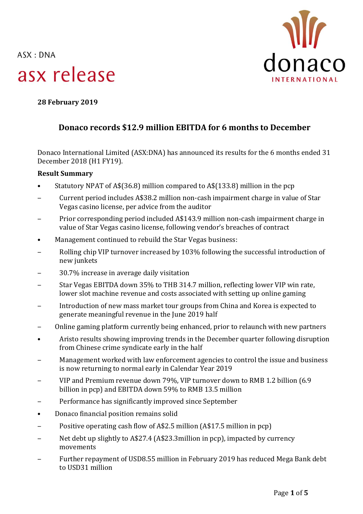$ASK: DNA$ 





**28 February 2019**

# **Donaco records \$12.9 million EBITDA for 6 months to December**

Donaco International Limited (ASX:DNA) has announced its results for the 6 months ended 31 December 2018 (H1 FY19).

# **Result Summary**

- Statutory NPAT of A\$(36.8) million compared to A\$(133.8) million in the pcp
- ‒ Current period includes A\$38.2 million non-cash impairment charge in value of Star Vegas casino license, per advice from the auditor
- ‒ Prior corresponding period included A\$143.9 million non-cash impairment charge in value of Star Vegas casino license, following vendor's breaches of contract
- Management continued to rebuild the Star Vegas business:
- ‒ Rolling chip VIP turnover increased by 103% following the successful introduction of new junkets
- ‒ 30.7% increase in average daily visitation
- ‒ Star Vegas EBITDA down 35% to THB 314.7 million, reflecting lower VIP win rate, lower slot machine revenue and costs associated with setting up online gaming
- ‒ Introduction of new mass market tour groups from China and Korea is expected to generate meaningful revenue in the June 2019 half
- ‒ Online gaming platform currently being enhanced, prior to relaunch with new partners
- Aristo results showing improving trends in the December quarter following disruption from Chinese crime syndicate early in the half
- ‒ Management worked with law enforcement agencies to control the issue and business is now returning to normal early in Calendar Year 2019
- ‒ VIP and Premium revenue down 79%, VIP turnover down to RMB 1.2 billion (6.9 billion in pcp) and EBITDA down 59% to RMB 13.5 million
- ‒ Performance has significantly improved since September
- Donaco financial position remains solid
- Positive operating cash flow of A\$2.5 million (A\$17.5 million in pcp)
- Net debt up slightly to A\$27.4 (A\$23.3million in pcp), impacted by currency movements
- ‒ Further repayment of USD8.55 million in February 2019 has reduced Mega Bank debt to USD31 million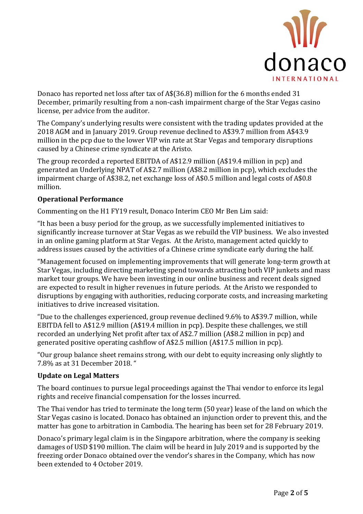

Donaco has reported net loss after tax of A\$(36.8) million for the 6 months ended 31 December, primarily resulting from a non-cash impairment charge of the Star Vegas casino license, per advice from the auditor.

The Company's underlying results were consistent with the trading updates provided at the 2018 AGM and in January 2019. Group revenue declined to A\$39.7 million from A\$43.9 million in the pcp due to the lower VIP win rate at Star Vegas and temporary disruptions caused by a Chinese crime syndicate at the Aristo.

The group recorded a reported EBITDA of A\$12.9 million (A\$19.4 million in pcp) and generated an Underlying NPAT of A\$2.7 million (A\$8.2 million in pcp), which excludes the impairment charge of A\$38.2, net exchange loss of A\$0.5 million and legal costs of A\$0.8 million.

## **Operational Performance**

Commenting on the H1 FY19 result, Donaco Interim CEO Mr Ben Lim said:

"It has been a busy period for the group, as we successfully implemented initiatives to significantly increase turnover at Star Vegas as we rebuild the VIP business. We also invested in an online gaming platform at Star Vegas. At the Aristo, management acted quickly to address issues caused by the activities of a Chinese crime syndicate early during the half.

"Management focused on implementing improvements that will generate long-term growth at Star Vegas, including directing marketing spend towards attracting both VIP junkets and mass market tour groups. We have been investing in our online business and recent deals signed are expected to result in higher revenues in future periods. At the Aristo we responded to disruptions by engaging with authorities, reducing corporate costs, and increasing marketing initiatives to drive increased visitation.

"Due to the challenges experienced, group revenue declined 9.6% to A\$39.7 million, while EBITDA fell to A\$12.9 million (A\$19.4 million in pcp). Despite these challenges, we still recorded an underlying Net profit after tax of A\$2.7 million (A\$8.2 million in pcp) and generated positive operating cashflow of A\$2.5 million (A\$17.5 million in pcp).

"Our group balance sheet remains strong, with our debt to equity increasing only slightly to 7.8% as at 31 December 2018. "

### **Update on Legal Matters**

The board continues to pursue legal proceedings against the Thai vendor to enforce its legal rights and receive financial compensation for the losses incurred.

The Thai vendor has tried to terminate the long term (50 year) lease of the land on which the Star Vegas casino is located. Donaco has obtained an injunction order to prevent this, and the matter has gone to arbitration in Cambodia. The hearing has been set for 28 February 2019.

Donaco's primary legal claim is in the Singapore arbitration, where the company is seeking damages of USD \$190 million. The claim will be heard in July 2019 and is supported by the freezing order Donaco obtained over the vendor's shares in the Company, which has now been extended to 4 October 2019.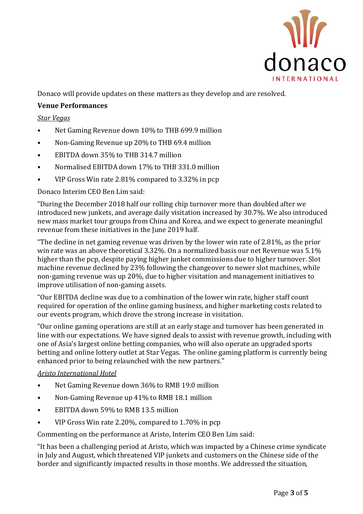

Donaco will provide updates on these matters as they develop and are resolved.

# **Venue Performances**

*Star Vegas* 

- Net Gaming Revenue down 10% to THB 699.9 million
- Non-Gaming Revenue up 20% to THB 69.4 million
- EBITDA down 35% to THB 314.7 million
- Normalised EBITDA down 17% to THB 331.0 million
- VIP Gross Win rate 2.81% compared to 3.32% in pcp

#### Donaco Interim CEO Ben Lim said:

"During the December 2018 half our rolling chip turnover more than doubled after we introduced new junkets, and average daily visitation increased by 30.7%. We also introduced new mass market tour groups from China and Korea, and we expect to generate meaningful revenue from these initiatives in the June 2019 half.

"The decline in net gaming revenue was driven by the lower win rate of 2.81%, as the prior win rate was an above theoretical 3.32%. On a normalized basis our net Revenue was 5.1% higher than the pcp, despite paying higher junket commissions due to higher turnover. Slot machine revenue declined by 23% following the changeover to newer slot machines, while non-gaming revenue was up 20%, due to higher visitation and management initiatives to improve utilisation of non-gaming assets.

"Our EBITDA decline was due to a combination of the lower win rate, higher staff count required for operation of the online gaming business, and higher marketing costs related to our events program, which drove the strong increase in visitation.

"Our online gaming operations are still at an early stage and turnover has been generated in line with our expectations. We have signed deals to assist with revenue growth, including with one of Asia's largest online betting companies, who will also operate an upgraded sports betting and online lottery outlet at Star Vegas. The online gaming platform is currently being enhanced prior to being relaunched with the new partners."

### *Aristo International Hotel*

- Net Gaming Revenue down 36% to RMB 19.0 million
- Non-Gaming Revenue up 41% to RMB 18.1 million
- EBITDA down 59% to RMB 13.5 million
- VIP Gross Win rate 2.20%, compared to 1.70% in pcp

Commenting on the performance at Aristo, Interim CEO Ben Lim said:

"It has been a challenging period at Aristo, which was impacted by a Chinese crime syndicate in July and August, which threatened VIP junkets and customers on the Chinese side of the border and significantly impacted results in those months. We addressed the situation,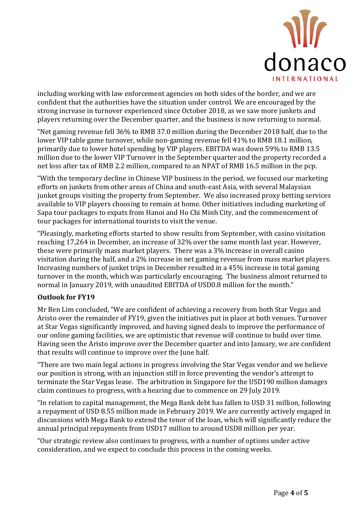

including working with law enforcement agencies on both sides of the border, and we are confident that the authorities have the situation under control. We are encouraged by the strong increase in turnover experienced since October 2018, as we saw more junkets and players returning over the December quarter, and the business is now returning to normal.

"Net gaming revenue fell 36% to RMB 37.0 million during the December 2018 half, due to the lower VIP table game turnover, while non-gaming revenue fell 41% to RMB 18.1 million, primarily due to lower hotel spending by VIP players. EBITDA was down 59% to RMB 13.5 million due to the lower VIP Turnover in the September quarter and the property recorded a net loss after tax of RMB 2.2 million, compared to an NPAT of RMB 16.5 million in the pcp.

"With the temporary decline in Chinese VIP business in the period, we focused our marketing efforts on junkets from other areas of China and south-east Asia, with several Malaysian junket groups visiting the property from September. We also increased proxy betting services available to VIP players choosing to remain at home. Other initiatives including marketing of Sapa tour packages to expats from Hanoi and Ho Chi Minh City, and the commencement of tour packages for international tourists to visit the venue.

"Pleasingly, marketing efforts started to show results from September, with casino visitation reaching 17,264 in December, an increase of 32% over the same month last year. However, these were primarily mass market players. There was a 3% increase in overall casino visitation during the half, and a 2% increase in net gaming revenue from mass market players. Increasing numbers of junket trips in December resulted in a 45% increase in total gaming turnover in the month, which was particularly encouraging. The business almost returned to normal in January 2019, with unaudited EBITDA of USD0.8 million for the month."

### **Outlook for FY19**

Mr Ben Lim concluded, "We are confident of achieving a recovery from both Star Vegas and Aristo over the remainder of FY19, given the initiatives put in place at both venues. Turnover at Star Vegas significantly improved, and having signed deals to improve the performance of our online gaming facilities, we are optimistic that revenue will continue to build over time. Having seen the Aristo improve over the December quarter and into January, we are confident that results will continue to improve over the June half.

"There are two main legal actions in progress involving the Star Vegas vendor and we believe our position is strong, with an injunction still in force preventing the vendor's attempt to terminate the Star Vegas lease. The arbitration in Singapore for the USD190 million damages claim continues to progress, with a hearing due to commence on 29 July 2019.

"In relation to capital management, the Mega Bank debt has fallen to USD 31 million, following a repayment of USD 8.55 million made in February 2019. We are currently actively engaged in discussions with Mega Bank to extend the tenor of the loan, which will significantly reduce the annual principal repayments from USD17 million to around USD8 million per year.

"Our strategic review also continues to progress, with a number of options under active consideration, and we expect to conclude this process in the coming weeks.